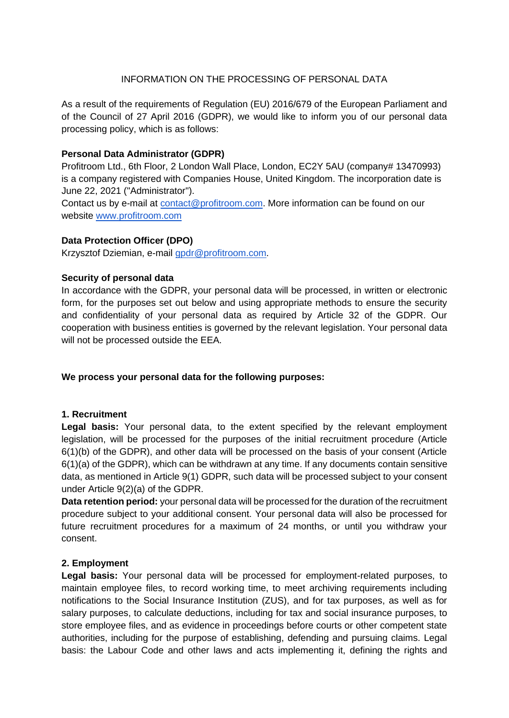### INFORMATION ON THE PROCESSING OF PERSONAL DATA

As a result of the requirements of Regulation (EU) 2016/679 of the European Parliament and of the Council of 27 April 2016 (GDPR), we would like to inform you of our personal data processing policy, which is as follows:

#### **Personal Data Administrator (GDPR)**

Profitroom Ltd., 6th Floor, 2 London Wall Place, London, EC2Y 5AU (company# 13470993) is a company registered with Companies House, United Kingdom. The incorporation date is June 22, 2021 ("Administrator").

Contact us by e-mail at [contact@profitroom.com.](mailto:contact@profitroom.com) More information can be found on our website www.profitroom.com

#### **Data Protection Officer (DPO)**

Krzysztof Dziemian, e-mail [gpdr@profitroom.com.](mailto:gpdr@profitroom.com)

### **Security of personal data**

In accordance with the GDPR, your personal data will be processed, in written or electronic form, for the purposes set out below and using appropriate methods to ensure the security and confidentiality of your personal data as required by Article 32 of the GDPR. Our cooperation with business entities is governed by the relevant legislation. Your personal data will not be processed outside the EEA.

#### **We process your personal data for the following purposes:**

#### **1. Recruitment**

**Legal basis:** Your personal data, to the extent specified by the relevant employment legislation, will be processed for the purposes of the initial recruitment procedure (Article 6(1)(b) of the GDPR), and other data will be processed on the basis of your consent (Article 6(1)(a) of the GDPR), which can be withdrawn at any time. If any documents contain sensitive data, as mentioned in Article 9(1) GDPR, such data will be processed subject to your consent under Article 9(2)(a) of the GDPR.

**Data retention period:** your personal data will be processed for the duration of the recruitment procedure subject to your additional consent. Your personal data will also be processed for future recruitment procedures for a maximum of 24 months, or until you withdraw your consent.

#### **2. Employment**

**Legal basis:** Your personal data will be processed for employment-related purposes, to maintain employee files, to record working time, to meet archiving requirements including notifications to the Social Insurance Institution (ZUS), and for tax purposes, as well as for salary purposes, to calculate deductions, including for tax and social insurance purposes, to store employee files, and as evidence in proceedings before courts or other competent state authorities, including for the purpose of establishing, defending and pursuing claims. Legal basis: the Labour Code and other laws and acts implementing it, defining the rights and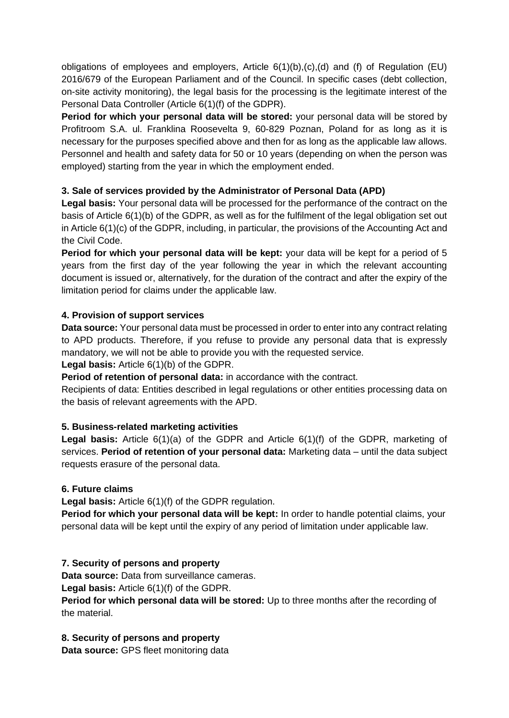obligations of employees and employers, Article 6(1)(b),(c),(d) and (f) of Regulation (EU) 2016/679 of the European Parliament and of the Council. In specific cases (debt collection, on-site activity monitoring), the legal basis for the processing is the legitimate interest of the Personal Data Controller (Article 6(1)(f) of the GDPR).

**Period for which your personal data will be stored:** your personal data will be stored by Profitroom S.A. ul. Franklina Roosevelta 9, 60-829 Poznan, Poland for as long as it is necessary for the purposes specified above and then for as long as the applicable law allows. Personnel and health and safety data for 50 or 10 years (depending on when the person was employed) starting from the year in which the employment ended.

# **3. Sale of services provided by the Administrator of Personal Data (APD)**

**Legal basis:** Your personal data will be processed for the performance of the contract on the basis of Article 6(1)(b) of the GDPR, as well as for the fulfilment of the legal obligation set out in Article 6(1)(c) of the GDPR, including, in particular, the provisions of the Accounting Act and the Civil Code.

**Period for which your personal data will be kept:** your data will be kept for a period of 5 years from the first day of the year following the year in which the relevant accounting document is issued or, alternatively, for the duration of the contract and after the expiry of the limitation period for claims under the applicable law.

### **4. Provision of support services**

**Data source:** Your personal data must be processed in order to enter into any contract relating to APD products. Therefore, if you refuse to provide any personal data that is expressly mandatory, we will not be able to provide you with the requested service.

#### **Legal basis:** Article 6(1)(b) of the GDPR.

**Period of retention of personal data:** in accordance with the contract.

Recipients of data: Entities described in legal regulations or other entities processing data on the basis of relevant agreements with the APD.

#### **5. Business-related marketing activities**

**Legal basis:** Article 6(1)(a) of the GDPR and Article 6(1)(f) of the GDPR, marketing of services. **Period of retention of your personal data:** Marketing data – until the data subject requests erasure of the personal data.

#### **6. Future claims**

**Legal basis:** Article 6(1)(f) of the GDPR regulation.

**Period for which your personal data will be kept:** In order to handle potential claims, your personal data will be kept until the expiry of any period of limitation under applicable law.

# **7. Security of persons and property**

**Data source:** Data from surveillance cameras.

**Legal basis:** Article 6(1)(f) of the GDPR.

**Period for which personal data will be stored:** Up to three months after the recording of the material.

# **8. Security of persons and property**

**Data source:** GPS fleet monitoring data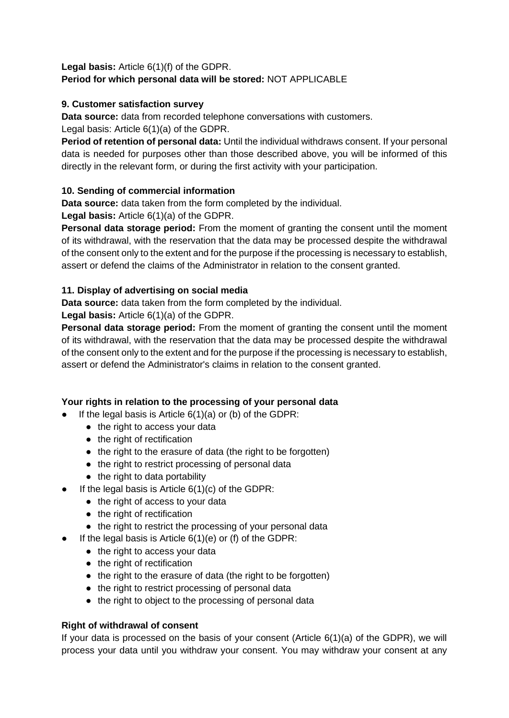**Legal basis:** Article 6(1)(f) of the GDPR. **Period for which personal data will be stored:** NOT APPLICABLE

# **9. Customer satisfaction survey**

**Data source:** data from recorded telephone conversations with customers. Legal basis: Article 6(1)(a) of the GDPR.

**Period of retention of personal data:** Until the individual withdraws consent. If your personal data is needed for purposes other than those described above, you will be informed of this directly in the relevant form, or during the first activity with your participation.

# **10. Sending of commercial information**

**Data source:** data taken from the form completed by the individual.

**Legal basis:** Article 6(1)(a) of the GDPR.

**Personal data storage period:** From the moment of granting the consent until the moment of its withdrawal, with the reservation that the data may be processed despite the withdrawal of the consent only to the extent and for the purpose if the processing is necessary to establish, assert or defend the claims of the Administrator in relation to the consent granted.

### **11. Display of advertising on social media**

**Data source:** data taken from the form completed by the individual.

**Legal basis:** Article 6(1)(a) of the GDPR.

**Personal data storage period:** From the moment of granting the consent until the moment of its withdrawal, with the reservation that the data may be processed despite the withdrawal of the consent only to the extent and for the purpose if the processing is necessary to establish, assert or defend the Administrator's claims in relation to the consent granted.

# **Your rights in relation to the processing of your personal data**

- $\bullet$  If the legal basis is Article 6(1)(a) or (b) of the GDPR:
	- the right to access your data
	- the right of rectification
	- the right to the erasure of data (the right to be forgotten)
	- the right to restrict processing of personal data
	- the right to data portability
- $\bullet$  If the legal basis is Article 6(1)(c) of the GDPR:
	- the right of access to your data
	- the right of rectification
	- the right to restrict the processing of your personal data
- $\bullet$  If the legal basis is Article 6(1)(e) or (f) of the GDPR:
	- the right to access your data
	- the right of rectification
	- the right to the erasure of data (the right to be forgotten)
	- the right to restrict processing of personal data
	- the right to object to the processing of personal data

#### **Right of withdrawal of consent**

If your data is processed on the basis of your consent (Article 6(1)(a) of the GDPR), we will process your data until you withdraw your consent. You may withdraw your consent at any